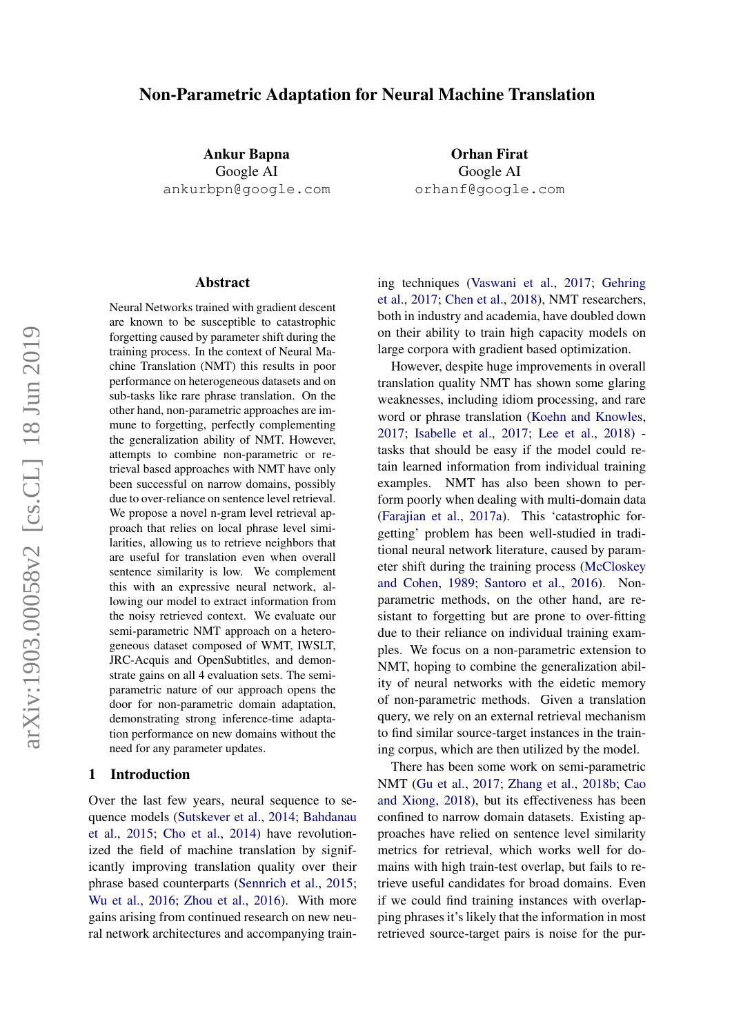# Non-Parametric Adaptation for Neural Machine Translation

Ankur Bapna Google AI ankurbpn@google.com

Orhan Firat Google AI orhanf@google.com

#### Abstract

Neural Networks trained with gradient descent are known to be susceptible to catastrophic forgetting caused by parameter shift during the training process. In the context of Neural Machine Translation (NMT) this results in poor performance on heterogeneous datasets and on sub-tasks like rare phrase translation. On the other hand, non-parametric approaches are immune to forgetting, perfectly complementing the generalization ability of NMT. However, attempts to combine non-parametric or retrieval based approaches with NMT have only been successful on narrow domains, possibly due to over-reliance on sentence level retrieval. We propose a novel n-gram level retrieval approach that relies on local phrase level similarities, allowing us to retrieve neighbors that are useful for translation even when overall sentence similarity is low. We complement this with an expressive neural network, allowing our model to extract information from the noisy retrieved context. We evaluate our semi-parametric NMT approach on a heterogeneous dataset composed of WMT, IWSLT, JRC-Acquis and OpenSubtitles, and demonstrate gains on all 4 evaluation sets. The semiparametric nature of our approach opens the door for non-parametric domain adaptation, demonstrating strong inference-time adaptation performance on new domains without the need for any parameter updates.

## 1 Introduction

Over the last few years, neural sequence to sequence models [\(Sutskever et al.,](#page-9-0) [2014;](#page-9-0) [Bahdanau](#page-8-0) [et al.,](#page-8-0) [2015;](#page-8-0) [Cho et al.,](#page-8-1) [2014\)](#page-8-1) have revolutionized the field of machine translation by significantly improving translation quality over their phrase based counterparts [\(Sennrich et al.,](#page-9-1) [2015;](#page-9-1) [Wu et al.,](#page-9-2) [2016;](#page-9-2) [Zhou et al.,](#page-10-0) [2016\)](#page-10-0). With more gains arising from continued research on new neural network architectures and accompanying train-

ing techniques [\(Vaswani et al.,](#page-9-3) [2017;](#page-9-3) [Gehring](#page-8-2) [et al.,](#page-8-2) [2017;](#page-8-2) [Chen et al.,](#page-8-3) [2018\)](#page-8-3), NMT researchers, both in industry and academia, have doubled down on their ability to train high capacity models on large corpora with gradient based optimization.

However, despite huge improvements in overall translation quality NMT has shown some glaring weaknesses, including idiom processing, and rare word or phrase translation [\(Koehn and Knowles,](#page-9-4) [2017;](#page-9-4) [Isabelle et al.,](#page-8-4) [2017;](#page-8-4) [Lee et al.,](#page-9-5) [2018\)](#page-9-5) tasks that should be easy if the model could retain learned information from individual training examples. NMT has also been shown to perform poorly when dealing with multi-domain data [\(Farajian et al.,](#page-8-5) [2017a\)](#page-8-5). This 'catastrophic forgetting' problem has been well-studied in traditional neural network literature, caused by parameter shift during the training process [\(McCloskey](#page-9-6) [and Cohen,](#page-9-6) [1989;](#page-9-6) [Santoro et al.,](#page-9-7) [2016\)](#page-9-7). Nonparametric methods, on the other hand, are resistant to forgetting but are prone to over-fitting due to their reliance on individual training examples. We focus on a non-parametric extension to NMT, hoping to combine the generalization ability of neural networks with the eidetic memory of non-parametric methods. Given a translation query, we rely on an external retrieval mechanism to find similar source-target instances in the training corpus, which are then utilized by the model.

There has been some work on semi-parametric NMT [\(Gu et al.,](#page-8-6) [2017;](#page-8-6) [Zhang et al.,](#page-10-1) [2018b;](#page-10-1) [Cao](#page-8-7) [and Xiong,](#page-8-7) [2018\)](#page-8-7), but its effectiveness has been confined to narrow domain datasets. Existing approaches have relied on sentence level similarity metrics for retrieval, which works well for domains with high train-test overlap, but fails to retrieve useful candidates for broad domains. Even if we could find training instances with overlapping phrases it's likely that the information in most retrieved source-target pairs is noise for the pur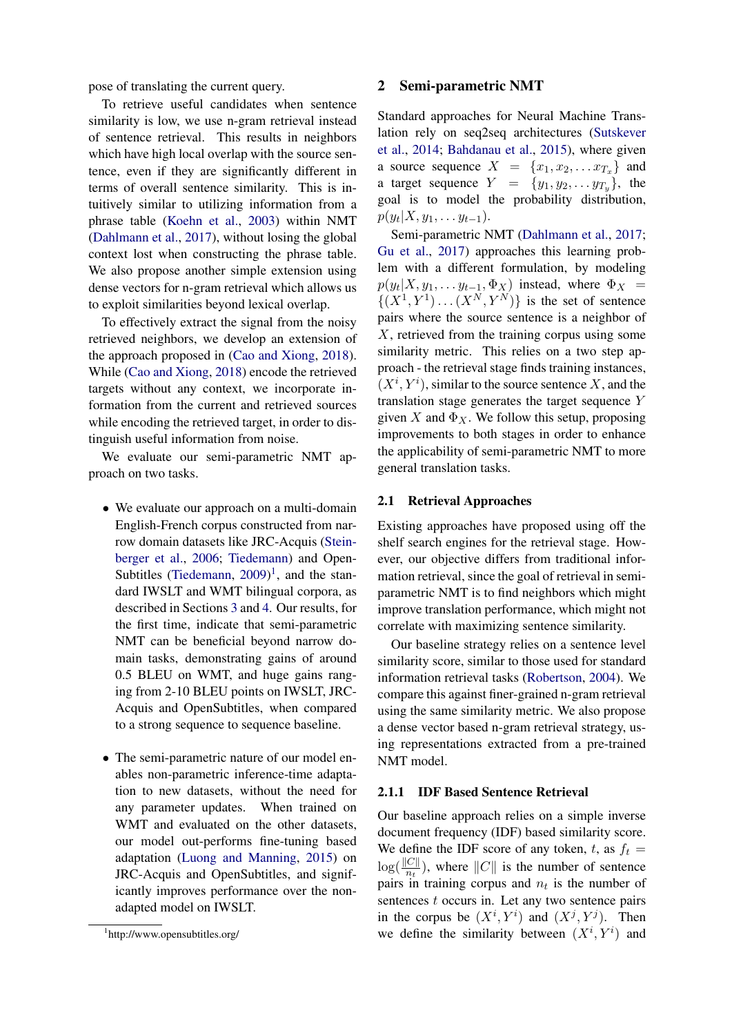pose of translating the current query.

To retrieve useful candidates when sentence similarity is low, we use n-gram retrieval instead of sentence retrieval. This results in neighbors which have high local overlap with the source sentence, even if they are significantly different in terms of overall sentence similarity. This is intuitively similar to utilizing information from a phrase table [\(Koehn et al.,](#page-9-8) [2003\)](#page-9-8) within NMT [\(Dahlmann et al.,](#page-8-8) [2017\)](#page-8-8), without losing the global context lost when constructing the phrase table. We also propose another simple extension using dense vectors for n-gram retrieval which allows us to exploit similarities beyond lexical overlap.

To effectively extract the signal from the noisy retrieved neighbors, we develop an extension of the approach proposed in [\(Cao and Xiong,](#page-8-7) [2018\)](#page-8-7). While [\(Cao and Xiong,](#page-8-7) [2018\)](#page-8-7) encode the retrieved targets without any context, we incorporate information from the current and retrieved sources while encoding the retrieved target, in order to distinguish useful information from noise.

We evaluate our semi-parametric NMT approach on two tasks.

- We evaluate our approach on a multi-domain English-French corpus constructed from narrow domain datasets like JRC-Acquis [\(Stein](#page-9-9)[berger et al.,](#page-9-9) [2006;](#page-9-9) [Tiedemann\)](#page-9-10) and Open-Subtitles [\(Tiedemann,](#page-9-11)  $2009$ )<sup>[1](#page-1-0)</sup>, and the standard IWSLT and WMT bilingual corpora, as described in Sections [3](#page-3-0) and [4.](#page-4-0) Our results, for the first time, indicate that semi-parametric NMT can be beneficial beyond narrow domain tasks, demonstrating gains of around 0.5 BLEU on WMT, and huge gains ranging from 2-10 BLEU points on IWSLT, JRC-Acquis and OpenSubtitles, when compared to a strong sequence to sequence baseline.
- The semi-parametric nature of our model enables non-parametric inference-time adaptation to new datasets, without the need for any parameter updates. When trained on WMT and evaluated on the other datasets, our model out-performs fine-tuning based adaptation [\(Luong and Manning,](#page-9-12) [2015\)](#page-9-12) on JRC-Acquis and OpenSubtitles, and significantly improves performance over the nonadapted model on IWSLT.

### 2 Semi-parametric NMT

Standard approaches for Neural Machine Translation rely on seq2seq architectures [\(Sutskever](#page-9-0) [et al.,](#page-9-0) [2014;](#page-9-0) [Bahdanau et al.,](#page-8-0) [2015\)](#page-8-0), where given a source sequence  $X = \{x_1, x_2, \ldots x_{T_x}\}\$ and a target sequence  $Y = \{y_1, y_2, \ldots, y_{T_u}\}\$ , the goal is to model the probability distribution,  $p(y_t|X, y_1, \ldots y_{t-1}).$ 

Semi-parametric NMT [\(Dahlmann et al.,](#page-8-8) [2017;](#page-8-8) [Gu et al.,](#page-8-6) [2017\)](#page-8-6) approaches this learning problem with a different formulation, by modeling  $p(y_t|X, y_1, \ldots y_{t-1}, \Phi_X)$  instead, where  $\Phi_X =$  $\{(X^1, Y^1) \dots (X^N, Y^N)\}\$ is the set of sentence pairs where the source sentence is a neighbor of X, retrieved from the training corpus using some similarity metric. This relies on a two step approach - the retrieval stage finds training instances,  $(X^i, Y^i)$ , similar to the source sentence X, and the translation stage generates the target sequence Y given X and  $\Phi_X$ . We follow this setup, proposing improvements to both stages in order to enhance the applicability of semi-parametric NMT to more general translation tasks.

#### 2.1 Retrieval Approaches

Existing approaches have proposed using off the shelf search engines for the retrieval stage. However, our objective differs from traditional information retrieval, since the goal of retrieval in semiparametric NMT is to find neighbors which might improve translation performance, which might not correlate with maximizing sentence similarity.

Our baseline strategy relies on a sentence level similarity score, similar to those used for standard information retrieval tasks [\(Robertson,](#page-9-13) [2004\)](#page-9-13). We compare this against finer-grained n-gram retrieval using the same similarity metric. We also propose a dense vector based n-gram retrieval strategy, using representations extracted from a pre-trained NMT model.

#### 2.1.1 IDF Based Sentence Retrieval

Our baseline approach relies on a simple inverse document frequency (IDF) based similarity score. We define the IDF score of any token, t, as  $f_t =$  $\log(\frac{\|C\|}{n_t})$ , where  $\|C\|$  is the number of sentence pairs in training corpus and  $n_t$  is the number of sentences  $t$  occurs in. Let any two sentence pairs in the corpus be  $(X^i, Y^i)$  and  $(X^j, Y^j)$ . Then we define the similarity between  $(X^i, Y^i)$  and

<span id="page-1-0"></span><sup>1</sup> http://www.opensubtitles.org/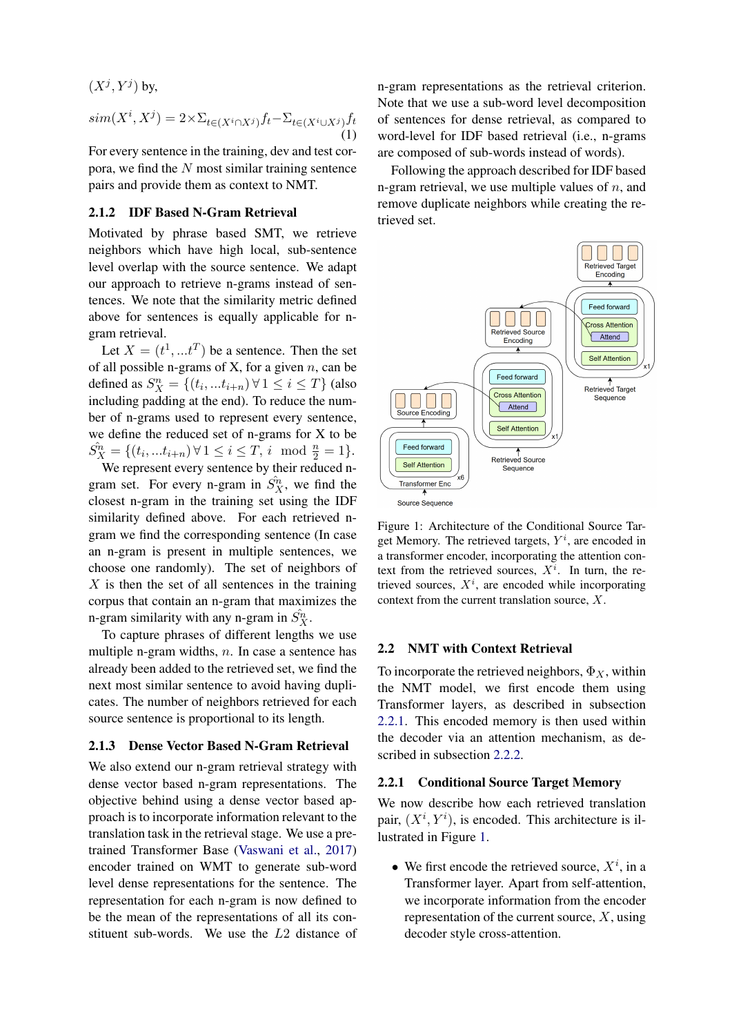$(X^j, Y^j)$  by,

$$
sim(X^i, X^j) = 2 \times \sum_{t \in (X^i \cap X^j)} f_t - \sum_{t \in (X^i \cup X^j)} f_t
$$
\n(1)

For every sentence in the training, dev and test corpora, we find the  $N$  most similar training sentence pairs and provide them as context to NMT.

## 2.1.2 IDF Based N-Gram Retrieval

Motivated by phrase based SMT, we retrieve neighbors which have high local, sub-sentence level overlap with the source sentence. We adapt our approach to retrieve n-grams instead of sentences. We note that the similarity metric defined above for sentences is equally applicable for ngram retrieval.

Let  $X = (t^1, ...t^T)$  be a sentence. Then the set of all possible n-grams of X, for a given  $n$ , can be defined as  $S_X^n = \{(t_i, ... t_{i+n}) \forall 1 \le i \le T\}$  (also including padding at the end). To reduce the number of n-grams used to represent every sentence, we define the reduced set of n-grams for X to be  $\hat{S_X^n} = \{(t_i, ... t_{i+n}) \forall 1 \le i \le T, i \mod \frac{n}{2} = 1\}.$ 

We represent every sentence by their reduced ngram set. For every n-gram in  $\hat{S}_X^n$ , we find the closest n-gram in the training set using the IDF similarity defined above. For each retrieved ngram we find the corresponding sentence (In case an n-gram is present in multiple sentences, we choose one randomly). The set of neighbors of  $X$  is then the set of all sentences in the training corpus that contain an n-gram that maximizes the n-gram similarity with any n-gram in  $\hat{S_X^n}$ .

To capture phrases of different lengths we use multiple n-gram widths,  $n$ . In case a sentence has already been added to the retrieved set, we find the next most similar sentence to avoid having duplicates. The number of neighbors retrieved for each source sentence is proportional to its length.

## 2.1.3 Dense Vector Based N-Gram Retrieval

We also extend our n-gram retrieval strategy with dense vector based n-gram representations. The objective behind using a dense vector based approach is to incorporate information relevant to the translation task in the retrieval stage. We use a pretrained Transformer Base [\(Vaswani et al.,](#page-9-3) [2017\)](#page-9-3) encoder trained on WMT to generate sub-word level dense representations for the sentence. The representation for each n-gram is now defined to be the mean of the representations of all its constituent sub-words. We use the L2 distance of

n-gram representations as the retrieval criterion. Note that we use a sub-word level decomposition of sentences for dense retrieval, as compared to word-level for IDF based retrieval (i.e., n-grams are composed of sub-words instead of words).

Following the approach described for IDF based n-gram retrieval, we use multiple values of  $n$ , and remove duplicate neighbors while creating the retrieved set.

<span id="page-2-1"></span>

Figure 1: Architecture of the Conditional Source Target Memory. The retrieved targets,  $Y^i$ , are encoded in a transformer encoder, incorporating the attention context from the retrieved sources,  $X^i$ . In turn, the retrieved sources,  $X^i$ , are encoded while incorporating context from the current translation source, X.

## 2.2 NMT with Context Retrieval

To incorporate the retrieved neighbors,  $\Phi_X$ , within the NMT model, we first encode them using Transformer layers, as described in subsection [2.2.1.](#page-2-0) This encoded memory is then used within the decoder via an attention mechanism, as described in subsection [2.2.2.](#page-3-1)

#### <span id="page-2-0"></span>2.2.1 Conditional Source Target Memory

We now describe how each retrieved translation pair,  $(X^i, Y^i)$ , is encoded. This architecture is illustrated in Figure [1.](#page-2-1)

• We first encode the retrieved source,  $X^i$ , in a Transformer layer. Apart from self-attention, we incorporate information from the encoder representation of the current source,  $X$ , using decoder style cross-attention.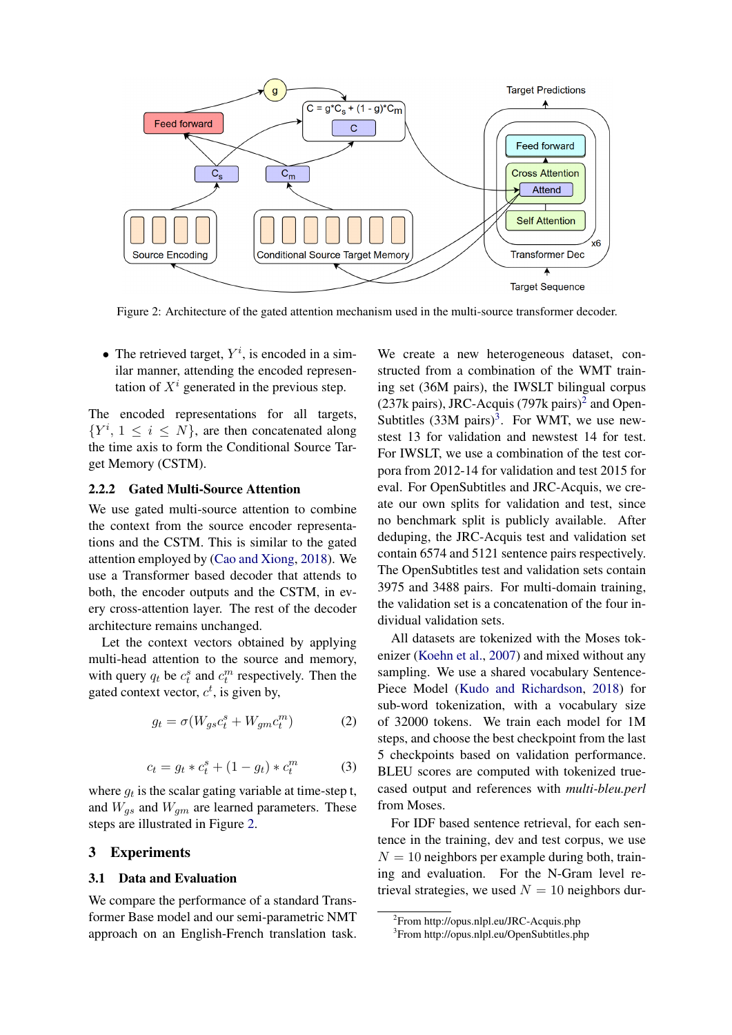<span id="page-3-2"></span>

Figure 2: Architecture of the gated attention mechanism used in the multi-source transformer decoder.

• The retrieved target,  $Y^i$ , is encoded in a similar manner, attending the encoded representation of  $X<sup>i</sup>$  generated in the previous step.

The encoded representations for all targets,  $\{Y^i, 1 \leq i \leq N\}$ , are then concatenated along the time axis to form the Conditional Source Target Memory (CSTM).

## <span id="page-3-1"></span>2.2.2 Gated Multi-Source Attention

We use gated multi-source attention to combine the context from the source encoder representations and the CSTM. This is similar to the gated attention employed by [\(Cao and Xiong,](#page-8-7) [2018\)](#page-8-7). We use a Transformer based decoder that attends to both, the encoder outputs and the CSTM, in every cross-attention layer. The rest of the decoder architecture remains unchanged.

Let the context vectors obtained by applying multi-head attention to the source and memory, with query  $q_t$  be  $c_t^s$  and  $c_t^m$  respectively. Then the gated context vector,  $c^t$ , is given by,

$$
g_t = \sigma(W_{gs}c_t^s + W_{gm}c_t^m)
$$
 (2)

$$
c_t = g_t * c_t^s + (1 - g_t) * c_t^m \tag{3}
$$

where  $g_t$  is the scalar gating variable at time-step t, and  $W_{gs}$  and  $W_{gm}$  are learned parameters. These steps are illustrated in Figure [2.](#page-3-2)

## <span id="page-3-0"></span>3 Experiments

#### 3.1 Data and Evaluation

We compare the performance of a standard Transformer Base model and our semi-parametric NMT approach on an English-French translation task.

We create a new heterogeneous dataset, constructed from a combination of the WMT training set (36M pairs), the IWSLT bilingual corpus ([2](#page-3-3)37k pairs), JRC-Acquis (797k pairs)<sup>2</sup> and Open-Subtitles  $(33M \text{ pairs})^3$  $(33M \text{ pairs})^3$  $(33M \text{ pairs})^3$ . For WMT, we use newstest 13 for validation and newstest 14 for test. For IWSLT, we use a combination of the test corpora from 2012-14 for validation and test 2015 for eval. For OpenSubtitles and JRC-Acquis, we create our own splits for validation and test, since no benchmark split is publicly available. After deduping, the JRC-Acquis test and validation set contain 6574 and 5121 sentence pairs respectively. The OpenSubtitles test and validation sets contain 3975 and 3488 pairs. For multi-domain training, the validation set is a concatenation of the four individual validation sets.

All datasets are tokenized with the Moses tokenizer [\(Koehn et al.,](#page-8-9) [2007\)](#page-8-9) and mixed without any sampling. We use a shared vocabulary Sentence-Piece Model [\(Kudo and Richardson,](#page-9-14) [2018\)](#page-9-14) for sub-word tokenization, with a vocabulary size of 32000 tokens. We train each model for 1M steps, and choose the best checkpoint from the last 5 checkpoints based on validation performance. BLEU scores are computed with tokenized truecased output and references with *multi-bleu.perl* from Moses.

For IDF based sentence retrieval, for each sentence in the training, dev and test corpus, we use  $N = 10$  neighbors per example during both, training and evaluation. For the N-Gram level retrieval strategies, we used  $N = 10$  neighbors dur-

<span id="page-3-3"></span><sup>2</sup> From http://opus.nlpl.eu/JRC-Acquis.php

<span id="page-3-4"></span><sup>3</sup> From http://opus.nlpl.eu/OpenSubtitles.php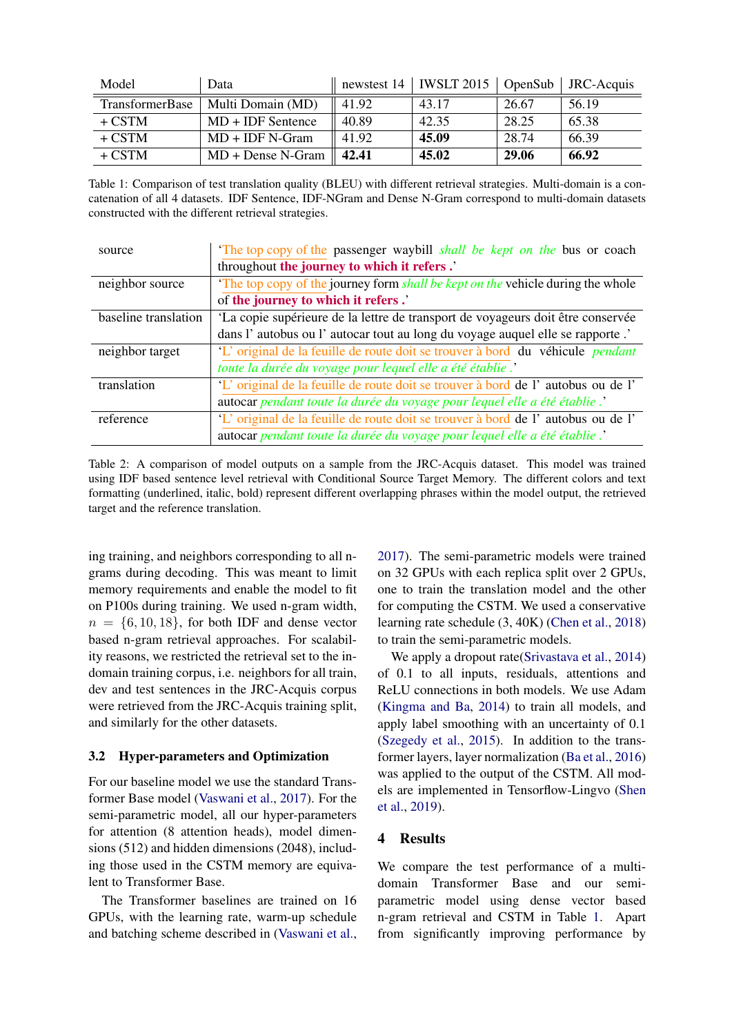<span id="page-4-1"></span>

| Model                  | Data                |       | newstest $14$   IWSLT 2015   OpenSub |       | JRC-Acquis |
|------------------------|---------------------|-------|--------------------------------------|-------|------------|
| <b>TransformerBase</b> | Multi Domain (MD)   | 41.92 | 43.17                                | 26.67 | 56.19      |
| $+$ CSTM               | $MD + IDF$ Sentence | 40.89 | 42.35                                | 28.25 | 65.38      |
| $+$ CSTM               | $MD + IDF N-Gram$   | 41.92 | 45.09                                | 28.74 | 66.39      |
| $+$ CSTM               | $MD + Dense N-Gram$ | 42.41 | 45.02                                | 29.06 | 66.92      |

Table 1: Comparison of test translation quality (BLEU) with different retrieval strategies. Multi-domain is a concatenation of all 4 datasets. IDF Sentence, IDF-NGram and Dense N-Gram correspond to multi-domain datasets constructed with the different retrieval strategies.

<span id="page-4-2"></span>

| source               | The top copy of the passenger waybill <i>shall be kept on the</i> bus or coach        |  |  |
|----------------------|---------------------------------------------------------------------------------------|--|--|
|                      | throughout the journey to which it refers.'                                           |  |  |
| neighbor source      | The top copy of the journey form <i>shall be kept on the vehicle during the whole</i> |  |  |
|                      | of the journey to which it refers.'                                                   |  |  |
| baseline translation | 'La copie supérieure de la lettre de transport de voyageurs doit être conservée       |  |  |
|                      | dans l'autobus ou l'autocar tout au long du voyage auquel elle se rapporte .'         |  |  |
| neighbor target      | 'L' original de la feuille de route doit se trouver à bord du véhicule <i>pendant</i> |  |  |
|                      | toute la durée du voyage pour lequel elle a été établie.'                             |  |  |
| translation          | 'L' original de la feuille de route doit se trouver à bord de l'autobus ou de l'      |  |  |
|                      | autocar pendant toute la durée du voyage pour lequel elle a été établie.'             |  |  |
| reference            | 'L' original de la feuille de route doit se trouver à bord de l'autobus ou de l'      |  |  |
|                      | autocar pendant toute la durée du voyage pour lequel elle a été établie.'             |  |  |

Table 2: A comparison of model outputs on a sample from the JRC-Acquis dataset. This model was trained using IDF based sentence level retrieval with Conditional Source Target Memory. The different colors and text formatting (underlined, italic, bold) represent different overlapping phrases within the model output, the retrieved target and the reference translation.

ing training, and neighbors corresponding to all ngrams during decoding. This was meant to limit memory requirements and enable the model to fit on P100s during training. We used n-gram width,  $n = \{6, 10, 18\}$ , for both IDF and dense vector based n-gram retrieval approaches. For scalability reasons, we restricted the retrieval set to the indomain training corpus, i.e. neighbors for all train, dev and test sentences in the JRC-Acquis corpus were retrieved from the JRC-Acquis training split, and similarly for the other datasets.

## 3.2 Hyper-parameters and Optimization

For our baseline model we use the standard Transformer Base model [\(Vaswani et al.,](#page-9-3) [2017\)](#page-9-3). For the semi-parametric model, all our hyper-parameters for attention (8 attention heads), model dimensions (512) and hidden dimensions (2048), including those used in the CSTM memory are equivalent to Transformer Base.

The Transformer baselines are trained on 16 GPUs, with the learning rate, warm-up schedule and batching scheme described in [\(Vaswani et al.,](#page-9-3) [2017\)](#page-9-3). The semi-parametric models were trained on 32 GPUs with each replica split over 2 GPUs, one to train the translation model and the other for computing the CSTM. We used a conservative learning rate schedule (3, 40K) [\(Chen et al.,](#page-8-3) [2018\)](#page-8-3) to train the semi-parametric models.

We apply a dropout rate[\(Srivastava et al.,](#page-9-15) [2014\)](#page-9-15) of 0.1 to all inputs, residuals, attentions and ReLU connections in both models. We use Adam [\(Kingma and Ba,](#page-8-10) [2014\)](#page-8-10) to train all models, and apply label smoothing with an uncertainty of 0.1 [\(Szegedy et al.,](#page-9-16) [2015\)](#page-9-16). In addition to the transformer layers, layer normalization [\(Ba et al.,](#page-8-11) [2016\)](#page-8-11) was applied to the output of the CSTM. All models are implemented in Tensorflow-Lingvo [\(Shen](#page-9-17) [et al.,](#page-9-17) [2019\)](#page-9-17).

# <span id="page-4-0"></span>4 Results

We compare the test performance of a multidomain Transformer Base and our semiparametric model using dense vector based n-gram retrieval and CSTM in Table [1.](#page-4-1) Apart from significantly improving performance by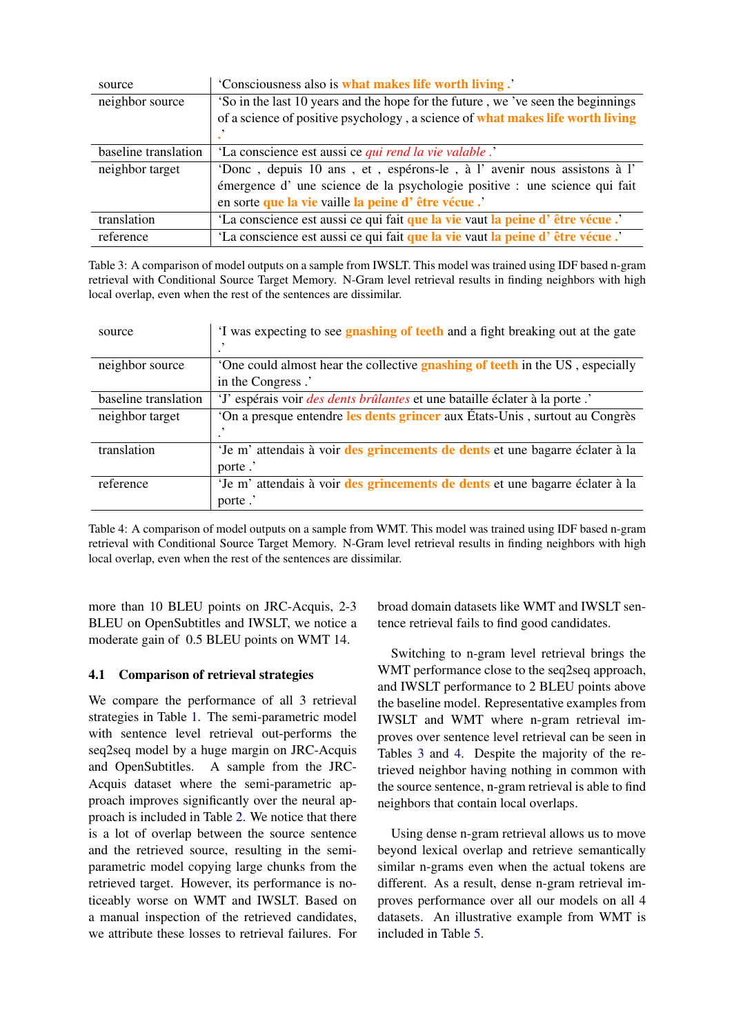<span id="page-5-0"></span>

| source               | 'Consciousness also is what makes life worth living.'                            |
|----------------------|----------------------------------------------------------------------------------|
| neighbor source      | 'So in the last 10 years and the hope for the future, we 've seen the beginnings |
|                      | of a science of positive psychology, a science of what makes life worth living   |
|                      |                                                                                  |
| baseline translation | 'La conscience est aussi ce <i>qui rend la vie valable</i> .'                    |
| neighbor target      | 'Donc, depuis 10 ans, et, espérons-le, à l'avenir nous assistons à l'            |
|                      | émergence d'une science de la psychologie positive : une science qui fait        |
|                      | en sorte que la vie vaille la peine d'être vécue.                                |
| translation          | 'La conscience est aussi ce qui fait que la vie vaut la peine d'être vécue.'     |
| reference            | 'La conscience est aussi ce qui fait que la vie vaut la peine d'être vécue.'     |

Table 3: A comparison of model outputs on a sample from IWSLT. This model was trained using IDF based n-gram retrieval with Conditional Source Target Memory. N-Gram level retrieval results in finding neighbors with high local overlap, even when the rest of the sentences are dissimilar.

<span id="page-5-1"></span>

| source               | If was expecting to see gnashing of teeth and a fight breaking out at the gate      |
|----------------------|-------------------------------------------------------------------------------------|
|                      |                                                                                     |
| neighbor source      | One could almost hear the collective <b>gnashing of teeth</b> in the US, especially |
|                      | in the Congress.'                                                                   |
| baseline translation | 'J' espérais voir <i>des dents brûlantes</i> et une bataille éclater à la porte .'  |
| neighbor target      | On a presque entendre les dents grincer aux États-Unis, surtout au Congrès          |
|                      |                                                                                     |
| translation          | 'Je m' attendais à voir des grincements de dents et une bagarre éclater à la        |
|                      | porte .'                                                                            |
| reference            | 'Je m' attendais à voir des grincements de dents et une bagarre éclater à la        |
|                      | porte.                                                                              |

Table 4: A comparison of model outputs on a sample from WMT. This model was trained using IDF based n-gram retrieval with Conditional Source Target Memory. N-Gram level retrieval results in finding neighbors with high local overlap, even when the rest of the sentences are dissimilar.

more than 10 BLEU points on JRC-Acquis, 2-3 BLEU on OpenSubtitles and IWSLT, we notice a moderate gain of 0.5 BLEU points on WMT 14.

# 4.1 Comparison of retrieval strategies

We compare the performance of all 3 retrieval strategies in Table [1.](#page-4-1) The semi-parametric model with sentence level retrieval out-performs the seq2seq model by a huge margin on JRC-Acquis and OpenSubtitles. A sample from the JRC-Acquis dataset where the semi-parametric approach improves significantly over the neural approach is included in Table [2.](#page-4-2) We notice that there is a lot of overlap between the source sentence and the retrieved source, resulting in the semiparametric model copying large chunks from the retrieved target. However, its performance is noticeably worse on WMT and IWSLT. Based on a manual inspection of the retrieved candidates, we attribute these losses to retrieval failures. For

broad domain datasets like WMT and IWSLT sentence retrieval fails to find good candidates.

Switching to n-gram level retrieval brings the WMT performance close to the seq2seq approach, and IWSLT performance to 2 BLEU points above the baseline model. Representative examples from IWSLT and WMT where n-gram retrieval improves over sentence level retrieval can be seen in Tables [3](#page-5-0) and [4.](#page-5-1) Despite the majority of the retrieved neighbor having nothing in common with the source sentence, n-gram retrieval is able to find neighbors that contain local overlaps.

Using dense n-gram retrieval allows us to move beyond lexical overlap and retrieve semantically similar n-grams even when the actual tokens are different. As a result, dense n-gram retrieval improves performance over all our models on all 4 datasets. An illustrative example from WMT is included in Table [5.](#page-6-0)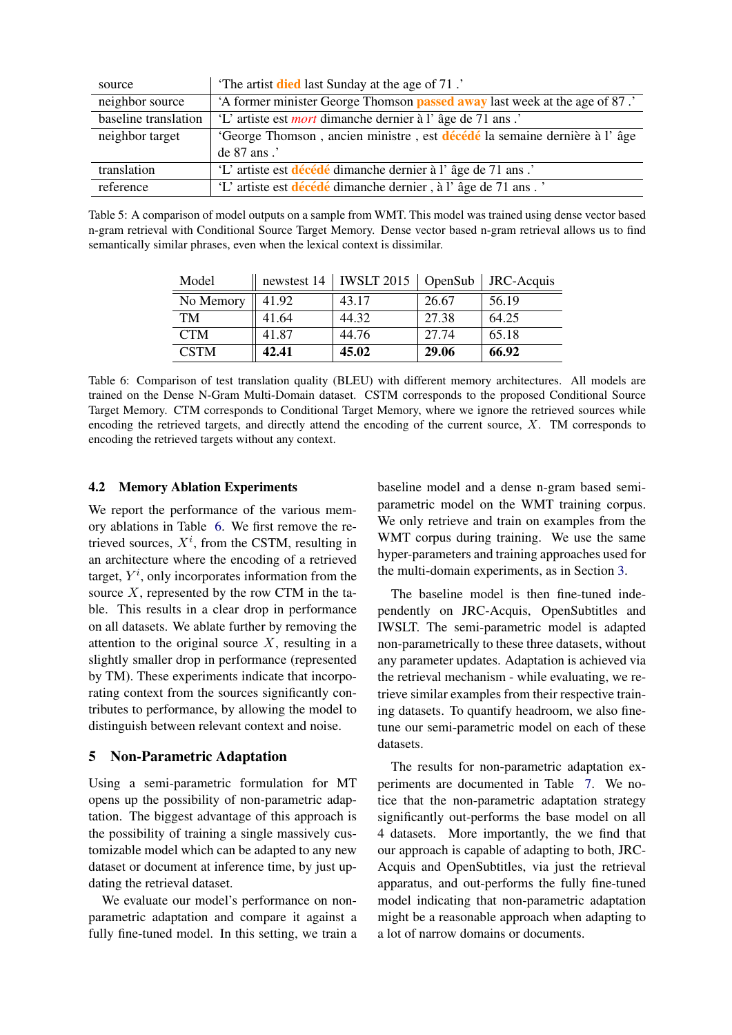<span id="page-6-0"></span>

| source               | The artist <b>died</b> last Sunday at the age of 71.                             |
|----------------------|----------------------------------------------------------------------------------|
| neighbor source      | 'A former minister George Thomson <b>passed away</b> last week at the age of 87. |
| baseline translation | 'L' artiste est <i>mort</i> dimanche dernier à l'âge de 71 ans.'                 |
| neighbor target      | 'George Thomson, ancien ministre, est décédé la semaine dernière à l'âge         |
|                      | de 87 ans .'                                                                     |
| translation          | 'L' artiste est décédé dimanche dernier à l'âge de 71 ans.'                      |
| reference            | 'L' artiste est décédé dimanche dernier, à l'âge de 71 ans.                      |

<span id="page-6-1"></span>Table 5: A comparison of model outputs on a sample from WMT. This model was trained using dense vector based n-gram retrieval with Conditional Source Target Memory. Dense vector based n-gram retrieval allows us to find semantically similar phrases, even when the lexical context is dissimilar.

| Model       | newstest 14 | <b>IWSLT</b> 2015 $\vert$ OpenSub |       | JRC-Acquis |
|-------------|-------------|-----------------------------------|-------|------------|
| No Memory   | 41.92       | 43.17                             | 26.67 | 56.19      |
| TM          | 41.64       | 44.32                             | 27.38 | 64.25      |
| <b>CTM</b>  | 41.87       | 44.76                             | 27.74 | 65.18      |
| <b>CSTM</b> | 42.41       | 45.02                             | 29.06 | 66.92      |

Table 6: Comparison of test translation quality (BLEU) with different memory architectures. All models are trained on the Dense N-Gram Multi-Domain dataset. CSTM corresponds to the proposed Conditional Source Target Memory. CTM corresponds to Conditional Target Memory, where we ignore the retrieved sources while encoding the retrieved targets, and directly attend the encoding of the current source, X. TM corresponds to encoding the retrieved targets without any context.

## 4.2 Memory Ablation Experiments

We report the performance of the various memory ablations in Table [6.](#page-6-1) We first remove the retrieved sources,  $X^i$ , from the CSTM, resulting in an architecture where the encoding of a retrieved target,  $Y^i$ , only incorporates information from the source  $X$ , represented by the row CTM in the table. This results in a clear drop in performance on all datasets. We ablate further by removing the attention to the original source  $X$ , resulting in a slightly smaller drop in performance (represented by TM). These experiments indicate that incorporating context from the sources significantly contributes to performance, by allowing the model to distinguish between relevant context and noise.

## 5 Non-Parametric Adaptation

Using a semi-parametric formulation for MT opens up the possibility of non-parametric adaptation. The biggest advantage of this approach is the possibility of training a single massively customizable model which can be adapted to any new dataset or document at inference time, by just updating the retrieval dataset.

We evaluate our model's performance on nonparametric adaptation and compare it against a fully fine-tuned model. In this setting, we train a baseline model and a dense n-gram based semiparametric model on the WMT training corpus. We only retrieve and train on examples from the WMT corpus during training. We use the same hyper-parameters and training approaches used for the multi-domain experiments, as in Section [3.](#page-3-0)

The baseline model is then fine-tuned independently on JRC-Acquis, OpenSubtitles and IWSLT. The semi-parametric model is adapted non-parametrically to these three datasets, without any parameter updates. Adaptation is achieved via the retrieval mechanism - while evaluating, we retrieve similar examples from their respective training datasets. To quantify headroom, we also finetune our semi-parametric model on each of these datasets.

The results for non-parametric adaptation experiments are documented in Table [7.](#page-7-0) We notice that the non-parametric adaptation strategy significantly out-performs the base model on all 4 datasets. More importantly, the we find that our approach is capable of adapting to both, JRC-Acquis and OpenSubtitles, via just the retrieval apparatus, and out-performs the fully fine-tuned model indicating that non-parametric adaptation might be a reasonable approach when adapting to a lot of narrow domains or documents.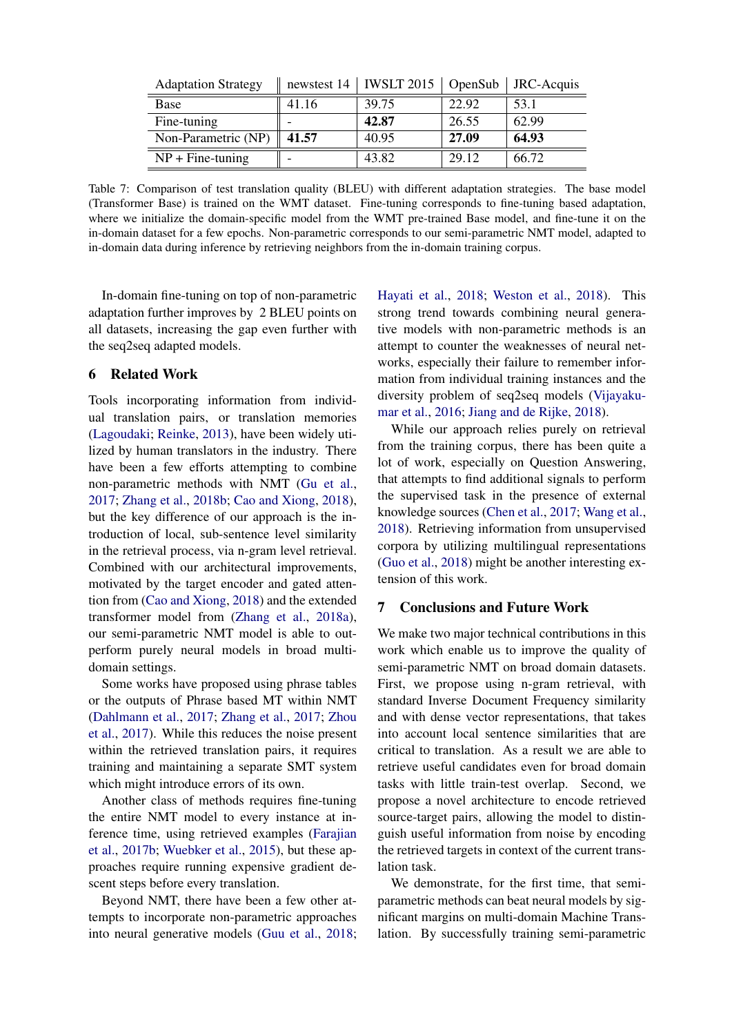<span id="page-7-0"></span>

| <b>Adaptation Strategy</b> |       | newstest 14   IWSLT 2015   OpenSub   JRC-Acquis |       |       |
|----------------------------|-------|-------------------------------------------------|-------|-------|
| Base                       | 41.16 | 39.75                                           | 22.92 | 53.1  |
| Fine-tuning                |       | 42.87                                           | 26.55 | 62.99 |
| Non-Parametric (NP)        | 41.57 | 40.95                                           | 27.09 | 64.93 |
| $NP + Fine-tuning$         |       | 43.82                                           | 29.12 | 66.72 |

Table 7: Comparison of test translation quality (BLEU) with different adaptation strategies. The base model (Transformer Base) is trained on the WMT dataset. Fine-tuning corresponds to fine-tuning based adaptation, where we initialize the domain-specific model from the WMT pre-trained Base model, and fine-tune it on the in-domain dataset for a few epochs. Non-parametric corresponds to our semi-parametric NMT model, adapted to in-domain data during inference by retrieving neighbors from the in-domain training corpus.

In-domain fine-tuning on top of non-parametric adaptation further improves by 2 BLEU points on all datasets, increasing the gap even further with the seq2seq adapted models.

## 6 Related Work

Tools incorporating information from individual translation pairs, or translation memories [\(Lagoudaki;](#page-9-18) [Reinke,](#page-9-19) [2013\)](#page-9-19), have been widely utilized by human translators in the industry. There have been a few efforts attempting to combine non-parametric methods with NMT [\(Gu et al.,](#page-8-6) [2017;](#page-8-6) [Zhang et al.,](#page-10-1) [2018b;](#page-10-1) [Cao and Xiong,](#page-8-7) [2018\)](#page-8-7), but the key difference of our approach is the introduction of local, sub-sentence level similarity in the retrieval process, via n-gram level retrieval. Combined with our architectural improvements, motivated by the target encoder and gated attention from [\(Cao and Xiong,](#page-8-7) [2018\)](#page-8-7) and the extended transformer model from [\(Zhang et al.,](#page-9-20) [2018a\)](#page-9-20), our semi-parametric NMT model is able to outperform purely neural models in broad multidomain settings.

Some works have proposed using phrase tables or the outputs of Phrase based MT within NMT [\(Dahlmann et al.,](#page-8-8) [2017;](#page-8-8) [Zhang et al.,](#page-10-2) [2017;](#page-10-2) [Zhou](#page-10-3) [et al.,](#page-10-3) [2017\)](#page-10-3). While this reduces the noise present within the retrieved translation pairs, it requires training and maintaining a separate SMT system which might introduce errors of its own.

Another class of methods requires fine-tuning the entire NMT model to every instance at inference time, using retrieved examples [\(Farajian](#page-8-12) [et al.,](#page-8-12) [2017b;](#page-8-12) [Wuebker et al.,](#page-9-21) [2015\)](#page-9-21), but these approaches require running expensive gradient descent steps before every translation.

Beyond NMT, there have been a few other attempts to incorporate non-parametric approaches into neural generative models [\(Guu et al.,](#page-8-13) [2018;](#page-8-13)

[Hayati et al.,](#page-8-14) [2018;](#page-8-14) [Weston et al.,](#page-9-22) [2018\)](#page-9-22). This strong trend towards combining neural generative models with non-parametric methods is an attempt to counter the weaknesses of neural networks, especially their failure to remember information from individual training instances and the diversity problem of seq2seq models [\(Vijayaku](#page-9-23)[mar et al.,](#page-9-23) [2016;](#page-9-23) [Jiang and de Rijke,](#page-8-15) [2018\)](#page-8-15).

While our approach relies purely on retrieval from the training corpus, there has been quite a lot of work, especially on Question Answering, that attempts to find additional signals to perform the supervised task in the presence of external knowledge sources [\(Chen et al.,](#page-8-16) [2017;](#page-8-16) [Wang et al.,](#page-9-24) [2018\)](#page-9-24). Retrieving information from unsupervised corpora by utilizing multilingual representations [\(Guo et al.,](#page-8-17) [2018\)](#page-8-17) might be another interesting extension of this work.

## 7 Conclusions and Future Work

We make two major technical contributions in this work which enable us to improve the quality of semi-parametric NMT on broad domain datasets. First, we propose using n-gram retrieval, with standard Inverse Document Frequency similarity and with dense vector representations, that takes into account local sentence similarities that are critical to translation. As a result we are able to retrieve useful candidates even for broad domain tasks with little train-test overlap. Second, we propose a novel architecture to encode retrieved source-target pairs, allowing the model to distinguish useful information from noise by encoding the retrieved targets in context of the current translation task.

We demonstrate, for the first time, that semiparametric methods can beat neural models by significant margins on multi-domain Machine Translation. By successfully training semi-parametric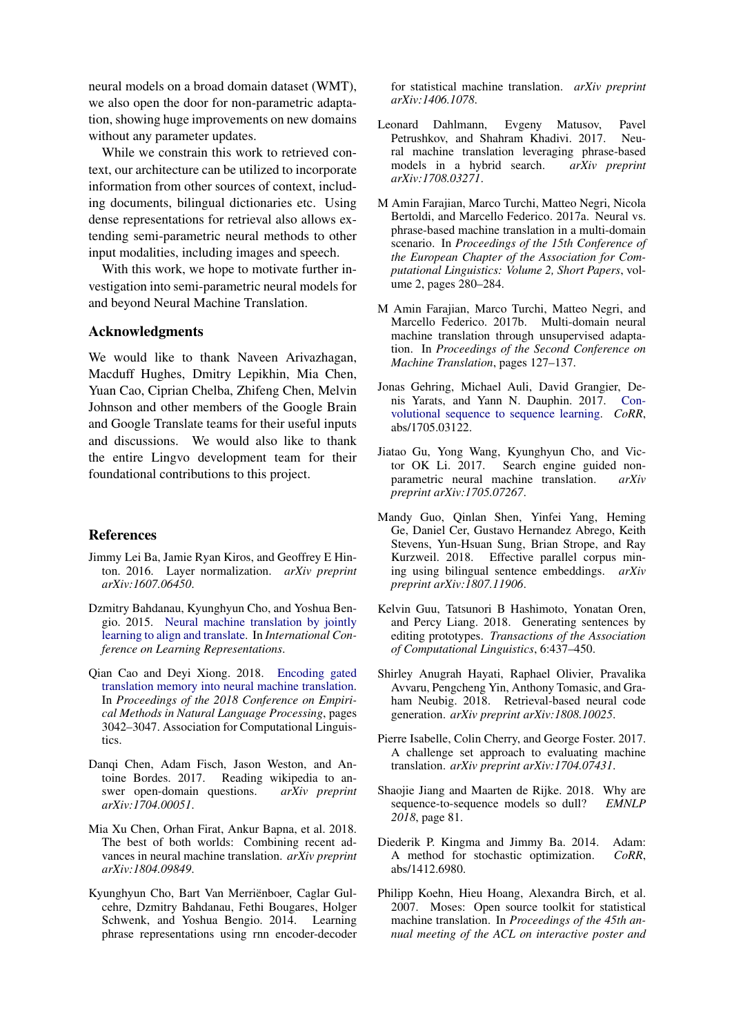neural models on a broad domain dataset (WMT), we also open the door for non-parametric adaptation, showing huge improvements on new domains without any parameter updates.

While we constrain this work to retrieved context, our architecture can be utilized to incorporate information from other sources of context, including documents, bilingual dictionaries etc. Using dense representations for retrieval also allows extending semi-parametric neural methods to other input modalities, including images and speech.

With this work, we hope to motivate further investigation into semi-parametric neural models for and beyond Neural Machine Translation.

## Acknowledgments

We would like to thank Naveen Arivazhagan, Macduff Hughes, Dmitry Lepikhin, Mia Chen, Yuan Cao, Ciprian Chelba, Zhifeng Chen, Melvin Johnson and other members of the Google Brain and Google Translate teams for their useful inputs and discussions. We would also like to thank the entire Lingvo development team for their foundational contributions to this project.

# References

- <span id="page-8-11"></span>Jimmy Lei Ba, Jamie Ryan Kiros, and Geoffrey E Hinton. 2016. Layer normalization. *arXiv preprint arXiv:1607.06450*.
- <span id="page-8-0"></span>Dzmitry Bahdanau, Kyunghyun Cho, and Yoshua Bengio. 2015. [Neural machine translation by jointly](http://arxiv.org/abs/1409.0473) [learning to align and translate.](http://arxiv.org/abs/1409.0473) In *International Conference on Learning Representations*.
- <span id="page-8-7"></span>Qian Cao and Deyi Xiong. 2018. [Encoding gated](http://aclweb.org/anthology/D18-1340) [translation memory into neural machine translation.](http://aclweb.org/anthology/D18-1340) In *Proceedings of the 2018 Conference on Empirical Methods in Natural Language Processing*, pages 3042–3047. Association for Computational Linguistics.
- <span id="page-8-16"></span>Danqi Chen, Adam Fisch, Jason Weston, and Antoine Bordes. 2017. Reading wikipedia to answer open-domain questions. *arXiv preprint arXiv:1704.00051*.
- <span id="page-8-3"></span>Mia Xu Chen, Orhan Firat, Ankur Bapna, et al. 2018. The best of both worlds: Combining recent advances in neural machine translation. *arXiv preprint arXiv:1804.09849*.
- <span id="page-8-1"></span>Kyunghyun Cho, Bart Van Merrienboer, Caglar Gul- ¨ cehre, Dzmitry Bahdanau, Fethi Bougares, Holger Schwenk, and Yoshua Bengio. 2014. Learning phrase representations using rnn encoder-decoder

for statistical machine translation. *arXiv preprint arXiv:1406.1078*.

- <span id="page-8-8"></span>Leonard Dahlmann, Evgeny Matusov, Pavel Petrushkov, and Shahram Khadivi. 2017. Neural machine translation leveraging phrase-based models in a hybrid search. *arXiv preprint arXiv:1708.03271*.
- <span id="page-8-5"></span>M Amin Farajian, Marco Turchi, Matteo Negri, Nicola Bertoldi, and Marcello Federico. 2017a. Neural vs. phrase-based machine translation in a multi-domain scenario. In *Proceedings of the 15th Conference of the European Chapter of the Association for Computational Linguistics: Volume 2, Short Papers*, volume 2, pages 280–284.
- <span id="page-8-12"></span>M Amin Farajian, Marco Turchi, Matteo Negri, and Marcello Federico. 2017b. Multi-domain neural machine translation through unsupervised adaptation. In *Proceedings of the Second Conference on Machine Translation*, pages 127–137.
- <span id="page-8-2"></span>Jonas Gehring, Michael Auli, David Grangier, Denis Yarats, and Yann N. Dauphin. 2017. [Con](http://arxiv.org/abs/1705.03122)[volutional sequence to sequence learning.](http://arxiv.org/abs/1705.03122) *CoRR*, abs/1705.03122.
- <span id="page-8-6"></span>Jiatao Gu, Yong Wang, Kyunghyun Cho, and Victor OK Li. 2017. Search engine guided nonparametric neural machine translation. *arXiv preprint arXiv:1705.07267*.
- <span id="page-8-17"></span>Mandy Guo, Qinlan Shen, Yinfei Yang, Heming Ge, Daniel Cer, Gustavo Hernandez Abrego, Keith Stevens, Yun-Hsuan Sung, Brian Strope, and Ray Kurzweil. 2018. Effective parallel corpus mining using bilingual sentence embeddings. *arXiv preprint arXiv:1807.11906*.
- <span id="page-8-13"></span>Kelvin Guu, Tatsunori B Hashimoto, Yonatan Oren, and Percy Liang. 2018. Generating sentences by editing prototypes. *Transactions of the Association of Computational Linguistics*, 6:437–450.
- <span id="page-8-14"></span>Shirley Anugrah Hayati, Raphael Olivier, Pravalika Avvaru, Pengcheng Yin, Anthony Tomasic, and Graham Neubig. 2018. Retrieval-based neural code generation. *arXiv preprint arXiv:1808.10025*.
- <span id="page-8-4"></span>Pierre Isabelle, Colin Cherry, and George Foster. 2017. A challenge set approach to evaluating machine translation. *arXiv preprint arXiv:1704.07431*.
- <span id="page-8-15"></span>Shaojie Jiang and Maarten de Rijke. 2018. Why are sequence-to-sequence models so dull? *EMNLP 2018*, page 81.
- <span id="page-8-10"></span>Diederik P. Kingma and Jimmy Ba. 2014. Adam: A method for stochastic optimization. *CoRR*, abs/1412.6980.
- <span id="page-8-9"></span>Philipp Koehn, Hieu Hoang, Alexandra Birch, et al. 2007. Moses: Open source toolkit for statistical machine translation. In *Proceedings of the 45th annual meeting of the ACL on interactive poster and*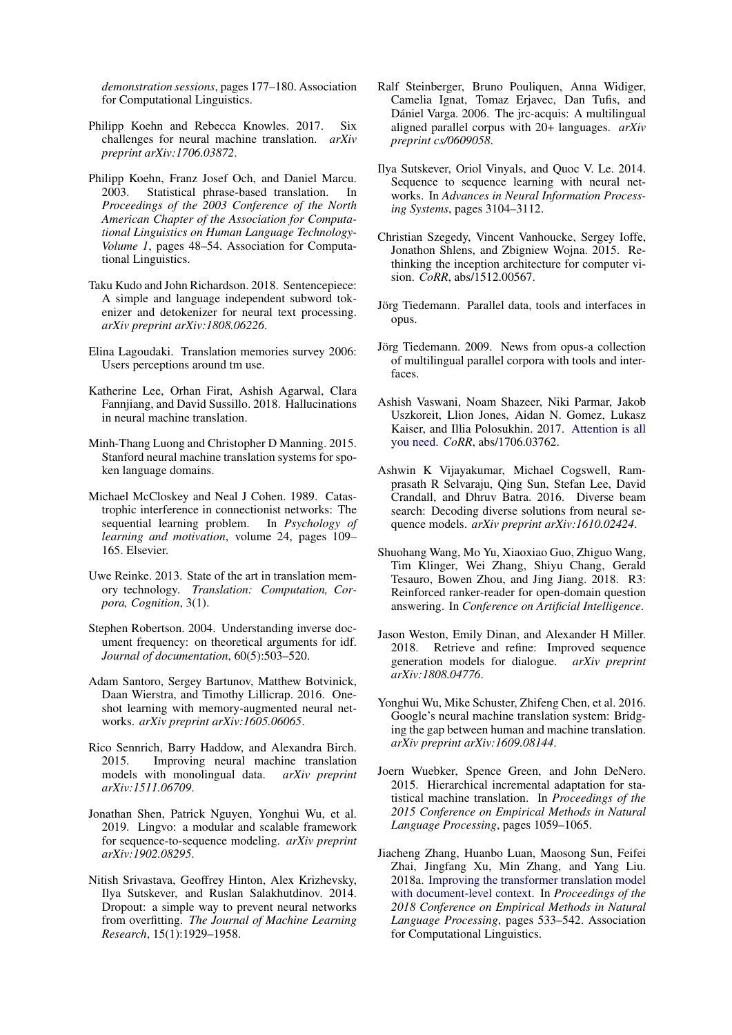*demonstration sessions*, pages 177–180. Association for Computational Linguistics.

- <span id="page-9-4"></span>Philipp Koehn and Rebecca Knowles. 2017. Six challenges for neural machine translation. *arXiv preprint arXiv:1706.03872*.
- <span id="page-9-8"></span>Philipp Koehn, Franz Josef Och, and Daniel Marcu. 2003. Statistical phrase-based translation. In *Proceedings of the 2003 Conference of the North American Chapter of the Association for Computational Linguistics on Human Language Technology-Volume 1*, pages 48–54. Association for Computational Linguistics.
- <span id="page-9-14"></span>Taku Kudo and John Richardson. 2018. Sentencepiece: A simple and language independent subword tokenizer and detokenizer for neural text processing. *arXiv preprint arXiv:1808.06226*.
- <span id="page-9-18"></span>Elina Lagoudaki. Translation memories survey 2006: Users perceptions around tm use.
- <span id="page-9-5"></span>Katherine Lee, Orhan Firat, Ashish Agarwal, Clara Fannjiang, and David Sussillo. 2018. Hallucinations in neural machine translation.
- <span id="page-9-12"></span>Minh-Thang Luong and Christopher D Manning. 2015. Stanford neural machine translation systems for spoken language domains.
- <span id="page-9-6"></span>Michael McCloskey and Neal J Cohen. 1989. Catastrophic interference in connectionist networks: The sequential learning problem. In *Psychology of learning and motivation*, volume 24, pages 109– 165. Elsevier.
- <span id="page-9-19"></span>Uwe Reinke. 2013. State of the art in translation memory technology. *Translation: Computation, Corpora, Cognition*, 3(1).
- <span id="page-9-13"></span>Stephen Robertson. 2004. Understanding inverse document frequency: on theoretical arguments for idf. *Journal of documentation*, 60(5):503–520.
- <span id="page-9-7"></span>Adam Santoro, Sergey Bartunov, Matthew Botvinick, Daan Wierstra, and Timothy Lillicrap. 2016. Oneshot learning with memory-augmented neural networks. *arXiv preprint arXiv:1605.06065*.
- <span id="page-9-1"></span>Rico Sennrich, Barry Haddow, and Alexandra Birch. 2015. Improving neural machine translation models with monolingual data. *arXiv preprint arXiv:1511.06709*.
- <span id="page-9-17"></span>Jonathan Shen, Patrick Nguyen, Yonghui Wu, et al. 2019. Lingvo: a modular and scalable framework for sequence-to-sequence modeling. *arXiv preprint arXiv:1902.08295*.
- <span id="page-9-15"></span>Nitish Srivastava, Geoffrey Hinton, Alex Krizhevsky, Ilya Sutskever, and Ruslan Salakhutdinov. 2014. Dropout: a simple way to prevent neural networks from overfitting. *The Journal of Machine Learning Research*, 15(1):1929–1958.
- <span id="page-9-9"></span>Ralf Steinberger, Bruno Pouliquen, Anna Widiger, Camelia Ignat, Tomaz Erjavec, Dan Tufis, and Dániel Varga. 2006. The jrc-acquis: A multilingual aligned parallel corpus with 20+ languages. *arXiv preprint cs/0609058*.
- <span id="page-9-0"></span>Ilya Sutskever, Oriol Vinyals, and Quoc V. Le. 2014. Sequence to sequence learning with neural networks. In *Advances in Neural Information Processing Systems*, pages 3104–3112.
- <span id="page-9-16"></span>Christian Szegedy, Vincent Vanhoucke, Sergey Ioffe, Jonathon Shlens, and Zbigniew Wojna. 2015. Rethinking the inception architecture for computer vision. *CoRR*, abs/1512.00567.
- <span id="page-9-10"></span>Jörg Tiedemann. Parallel data, tools and interfaces in opus.
- <span id="page-9-11"></span>Jörg Tiedemann. 2009. News from opus-a collection of multilingual parallel corpora with tools and interfaces.
- <span id="page-9-3"></span>Ashish Vaswani, Noam Shazeer, Niki Parmar, Jakob Uszkoreit, Llion Jones, Aidan N. Gomez, Lukasz Kaiser, and Illia Polosukhin. 2017. [Attention is all](http://arxiv.org/abs/1706.03762) [you need.](http://arxiv.org/abs/1706.03762) *CoRR*, abs/1706.03762.
- <span id="page-9-23"></span>Ashwin K Vijayakumar, Michael Cogswell, Ramprasath R Selvaraju, Qing Sun, Stefan Lee, David Crandall, and Dhruv Batra. 2016. Diverse beam search: Decoding diverse solutions from neural sequence models. *arXiv preprint arXiv:1610.02424*.
- <span id="page-9-24"></span>Shuohang Wang, Mo Yu, Xiaoxiao Guo, Zhiguo Wang, Tim Klinger, Wei Zhang, Shiyu Chang, Gerald Tesauro, Bowen Zhou, and Jing Jiang. 2018. R3: Reinforced ranker-reader for open-domain question answering. In *Conference on Artificial Intelligence*.
- <span id="page-9-22"></span>Jason Weston, Emily Dinan, and Alexander H Miller. 2018. Retrieve and refine: Improved sequence generation models for dialogue. *arXiv preprint arXiv:1808.04776*.
- <span id="page-9-2"></span>Yonghui Wu, Mike Schuster, Zhifeng Chen, et al. 2016. Google's neural machine translation system: Bridging the gap between human and machine translation. *arXiv preprint arXiv:1609.08144*.
- <span id="page-9-21"></span>Joern Wuebker, Spence Green, and John DeNero. 2015. Hierarchical incremental adaptation for statistical machine translation. In *Proceedings of the 2015 Conference on Empirical Methods in Natural Language Processing*, pages 1059–1065.
- <span id="page-9-20"></span>Jiacheng Zhang, Huanbo Luan, Maosong Sun, Feifei Zhai, Jingfang Xu, Min Zhang, and Yang Liu. 2018a. [Improving the transformer translation model](http://aclweb.org/anthology/D18-1049) [with document-level context.](http://aclweb.org/anthology/D18-1049) In *Proceedings of the 2018 Conference on Empirical Methods in Natural Language Processing*, pages 533–542. Association for Computational Linguistics.